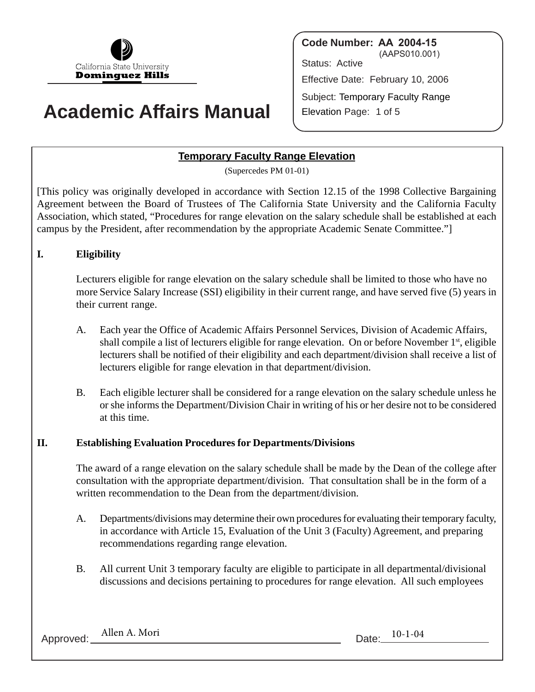

# **Academic Affairs Manual**

**Code Number: AA 2004-15** (AAPS010.001) Status: Active Effective Date: February 10, 2006 Subject: Temporary Faculty Range Elevation Page: 1 of 5

# **Temporary Faculty Range Elevation**

(Supercedes PM 01-01)

[This policy was originally developed in accordance with Section 12.15 of the 1998 Collective Bargaining Agreement between the Board of Trustees of The California State University and the California Faculty Association, which stated, "Procedures for range elevation on the salary schedule shall be established at each campus by the President, after recommendation by the appropriate Academic Senate Committee."]

## **I. Eligibility**

Lecturers eligible for range elevation on the salary schedule shall be limited to those who have no more Service Salary Increase (SSI) eligibility in their current range, and have served five (5) years in their current range.

- A. Each year the Office of Academic Affairs Personnel Services, Division of Academic Affairs, shall compile a list of lecturers eligible for range elevation. On or before November  $1<sup>st</sup>$ , eligible lecturers shall be notified of their eligibility and each department/division shall receive a list of lecturers eligible for range elevation in that department/division.
- B. Each eligible lecturer shall be considered for a range elevation on the salary schedule unless he or she informs the Department/Division Chair in writing of his or her desire not to be considered at this time.

#### **II. Establishing Evaluation Procedures for Departments/Divisions**

The award of a range elevation on the salary schedule shall be made by the Dean of the college after consultation with the appropriate department/division. That consultation shall be in the form of a written recommendation to the Dean from the department/division.

- A. Departments/divisions may determine their own procedures for evaluating their temporary faculty, in accordance with Article 15, Evaluation of the Unit 3 (Faculty) Agreement, and preparing recommendations regarding range elevation.
- B. All current Unit 3 temporary faculty are eligible to participate in all departmental/divisional discussions and decisions pertaining to procedures for range elevation. All such employees

Approved: Allen A. Mori Date: 10-1-04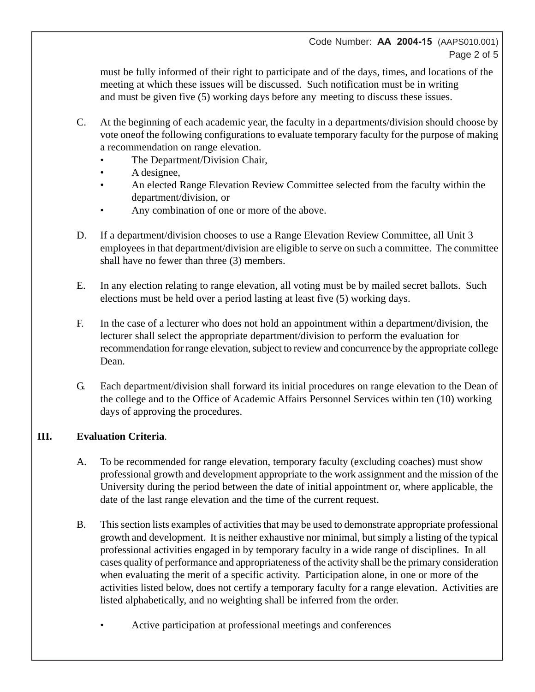#### Code Number: **AA 2004-15** (AAPS010.001) Page 2 of 5

must be fully informed of their right to participate and of the days, times, and locations of the meeting at which these issues will be discussed. Such notification must be in writing and must be given five (5) working days before any meeting to discuss these issues.

- C. At the beginning of each academic year, the faculty in a departments/division should choose by vote oneof the following configurations to evaluate temporary faculty for the purpose of making a recommendation on range elevation.
	- The Department/Division Chair,
	- A designee,
	- An elected Range Elevation Review Committee selected from the faculty within the department/division, or
	- Any combination of one or more of the above.
- D. If a department/division chooses to use a Range Elevation Review Committee, all Unit 3 employees in that department/division are eligible to serve on such a committee. The committee shall have no fewer than three (3) members.
- E. In any election relating to range elevation, all voting must be by mailed secret ballots. Such elections must be held over a period lasting at least five (5) working days.
- F. In the case of a lecturer who does not hold an appointment within a department/division, the lecturer shall select the appropriate department/division to perform the evaluation for recommendation for range elevation, subject to review and concurrence by the appropriate college Dean.
- G. Each department/division shall forward its initial procedures on range elevation to the Dean of the college and to the Office of Academic Affairs Personnel Services within ten (10) working days of approving the procedures.

## **III. Evaluation Criteria**.

- A. To be recommended for range elevation, temporary faculty (excluding coaches) must show professional growth and development appropriate to the work assignment and the mission of the University during the period between the date of initial appointment or, where applicable, the date of the last range elevation and the time of the current request.
- B. This section lists examples of activities that may be used to demonstrate appropriate professional growth and development. It is neither exhaustive nor minimal, but simply a listing of the typical professional activities engaged in by temporary faculty in a wide range of disciplines. In all cases quality of performance and appropriateness of the activity shall be the primary consideration when evaluating the merit of a specific activity. Participation alone, in one or more of the activities listed below, does not certify a temporary faculty for a range elevation. Activities are listed alphabetically, and no weighting shall be inferred from the order.
	- Active participation at professional meetings and conferences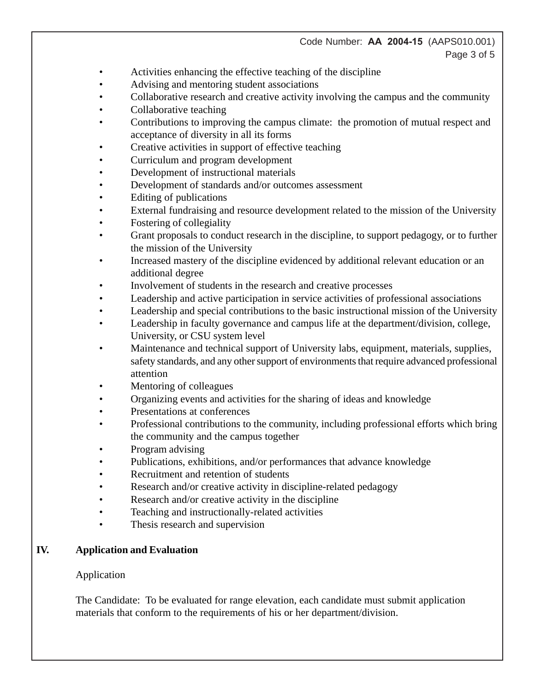#### Code Number: **AA 2004-15** (AAPS010.001) Page 3 of 5

- Activities enhancing the effective teaching of the discipline
- Advising and mentoring student associations
- Collaborative research and creative activity involving the campus and the community
- Collaborative teaching
- Contributions to improving the campus climate: the promotion of mutual respect and acceptance of diversity in all its forms
- Creative activities in support of effective teaching
- Curriculum and program development
- Development of instructional materials
- Development of standards and/or outcomes assessment
- Editing of publications
- External fundraising and resource development related to the mission of the University
- Fostering of collegiality
- Grant proposals to conduct research in the discipline, to support pedagogy, or to further the mission of the University
- Increased mastery of the discipline evidenced by additional relevant education or an additional degree
- Involvement of students in the research and creative processes
- Leadership and active participation in service activities of professional associations
- Leadership and special contributions to the basic instructional mission of the University
- Leadership in faculty governance and campus life at the department/division, college, University, or CSU system level
- Maintenance and technical support of University labs, equipment, materials, supplies, safety standards, and any other support of environments that require advanced professional attention
- Mentoring of colleagues
- Organizing events and activities for the sharing of ideas and knowledge
- Presentations at conferences
- Professional contributions to the community, including professional efforts which bring the community and the campus together
- Program advising
- Publications, exhibitions, and/or performances that advance knowledge
- Recruitment and retention of students
- Research and/or creative activity in discipline-related pedagogy
- Research and/or creative activity in the discipline
- Teaching and instructionally-related activities
- Thesis research and supervision

# **IV. Application and Evaluation**

## Application

The Candidate: To be evaluated for range elevation, each candidate must submit application materials that conform to the requirements of his or her department/division.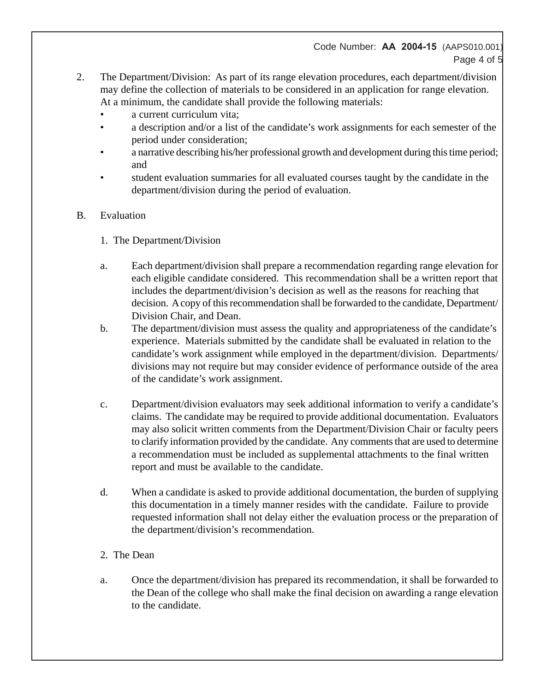### Code Number: **AA 2004-15** (AAPS010.001) Page 4 of 5

- 2. The Department/Division: As part of its range elevation procedures, each department/division may define the collection of materials to be considered in an application for range elevation. At a minimum, the candidate shall provide the following materials:
	- a current curriculum vita;
	- a description and/or a list of the candidate's work assignments for each semester of the period under consideration;
	- a narrative describing his/her professional growth and development during this time period; and
	- student evaluation summaries for all evaluated courses taught by the candidate in the department/division during the period of evaluation.

#### B. Evaluation

- 1. The Department/Division
- a. Each department/division shall prepare a recommendation regarding range elevation for each eligible candidate considered. This recommendation shall be a written report that includes the department/division's decision as well as the reasons for reaching that decision. A copy of this recommendation shall be forwarded to the candidate, Department/ Division Chair, and Dean.
- b. The department/division must assess the quality and appropriateness of the candidate's experience. Materials submitted by the candidate shall be evaluated in relation to the candidate's work assignment while employed in the department/division. Departments/ divisions may not require but may consider evidence of performance outside of the area of the candidate's work assignment.
- c. Department/division evaluators may seek additional information to verify a candidate's claims. The candidate may be required to provide additional documentation. Evaluators may also solicit written comments from the Department/Division Chair or faculty peers to clarify information provided by the candidate. Any comments that are used to determine a recommendation must be included as supplemental attachments to the final written report and must be available to the candidate.
- d. When a candidate is asked to provide additional documentation, the burden of supplying this documentation in a timely manner resides with the candidate. Failure to provide requested information shall not delay either the evaluation process or the preparation of the department/division's recommendation.
- 2. The Dean
- a. Once the department/division has prepared its recommendation, it shall be forwarded to the Dean of the college who shall make the final decision on awarding a range elevation to the candidate.